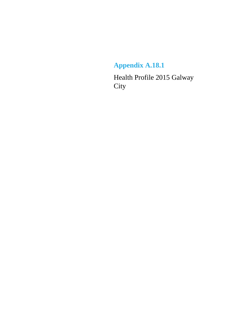### **Appendix A.18.1**

Health Profile 2015 Galway **City**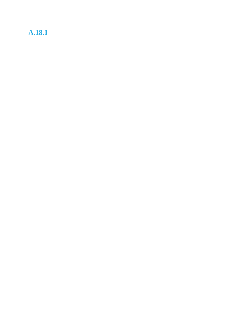### **A.18.1**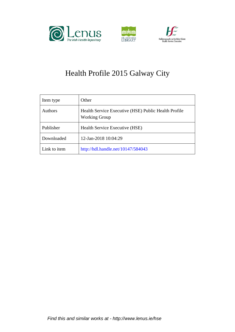





### Health Profile 2015 Galway City

| Item type      | Other                                                                        |
|----------------|------------------------------------------------------------------------------|
| <b>Authors</b> | Health Service Executive (HSE) Public Health Profile<br><b>Working Group</b> |
| Publisher      | Health Service Executive (HSE)                                               |
| Downloaded     | 12-Jan-2018 10:04:29                                                         |
| Link to item   | http://hdl.handle.net/10147/584043                                           |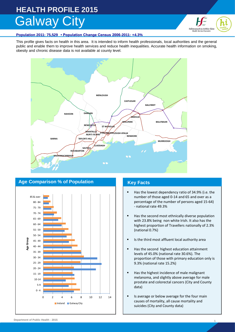# **HEALTH PROFILE 2015** Galway City



#### **Population 2011: 75,529 • Population Change Census 2006-2011: +4.3%**

This profile gives facts on health in this area. It is intended to inform health professionals, local authorities and the general public and enable them to improve health services and reduce health inequalities. Accurate health information on smoking, obesity and chronic disease data is not available at county level.





- Has the lowest dependency ratio of 34.9% (i.e. the number of those aged 0-14 and 65 and over as a percentage of the number of persons aged 15-64) - national rate 49.3%
- Has the second most ethnically diverse population with 23.8% being non white Irish. It also has the highest proportion of Travellers nationally of 2.3% (national 0.7%)
- Is the third most affluent local authority area
- Has the second highest education attainment levels of 45.0% (national rate 30.6%). The proportion of those with primary education only is 9.3% (national rate 15.2%)
- Has the highest incidence of male malignant melanoma, and slightly above average for male prostate and colorectal cancers (City and County data)
- Is average or below average for the four main causes of mortality, all cause mortality and suicides (City and County data)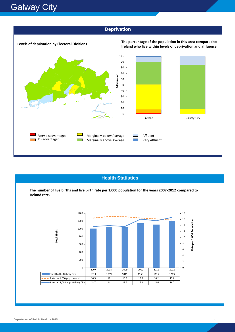

#### **Health Statistics**

**The number of live births and live birth rate per 1,000 population for the years 2007-2012 compared to Ireland rate.**



**Department of Public Health - 2015 2**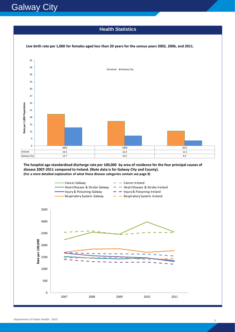## **Galway City**

#### **Health Statistics**



**The hospital age standardised discharge rate per 100,000 by area of residence for the four principal causes of disease 2007-2011 compared to Ireland. (Note data is for Galway City and County). (For a more detailed explanation of what these disease categories contain see page 8)**

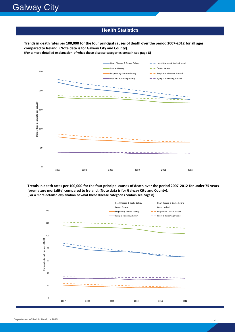#### **Health Statistics Health Statistics**

**Trends in death rates per 100,000 for the four principal causes of death over the period 2007-2012 for all ages compared to Ireland. (Note data is for Galway City and County). (For a more detailed explanation of what these disease categories contain see page 8)**



**Trends in death rates per 100,000 for the four principal causes of death over the period 2007-2012 for under 75 years (premature mortality) compared to Ireland. (Note data is for Galway City and County). (For a more detailed explanation of what these disease categories contain see page 8)**

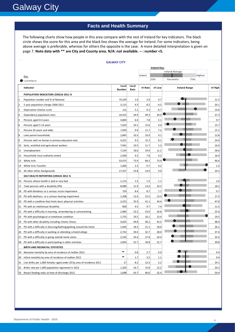## **Galway City**

#### **Facts and Health Summary**

The following charts show how people in this area compare with the rest of Ireland for key indicators. The black circle shows the score for this area and the black line shows the average for Ireland. For some indicators, being above average is preferable, whereas for others the opposite is the case. A more detailed interpretation is given on page 7. **Note data with \*\* are City and County area. N/A: not available. – : number <5.** 

|                                                                 |                                                                       |                        |               |                 | <b>Ireland Key:</b> |                        |                      |         |                 |
|-----------------------------------------------------------------|-----------------------------------------------------------------------|------------------------|---------------|-----------------|---------------------|------------------------|----------------------|---------|-----------------|
|                                                                 |                                                                       |                        |               |                 |                     | <b>Ireland Average</b> |                      |         |                 |
| Key:                                                            |                                                                       |                        |               | Lowest          | 25 <sub>th</sub>    | Percentile             | 75th                 | Highest |                 |
| Local Measure                                                   |                                                                       |                        |               |                 |                     |                        |                      |         |                 |
| Indicator                                                       |                                                                       | Local<br><b>Number</b> | Local<br>Rate | <b>Irl Rate</b> | <b>Irl Low</b>      |                        | <b>Ireland Range</b> |         | <b>Irl High</b> |
| <b>POPULATION INDICATORS CENSUS 2011 %</b>                      |                                                                       |                        |               |                 |                     |                        |                      |         |                 |
| Population number and % of National                             |                                                                       | 75,529                 | 1.6           | 2.9             | 0.7                 |                        |                      |         | 11.5            |
| 5 year population change 2006-2011<br>2                         |                                                                       | 3,115                  | 4.3           | 8.2             | $-4.5$              |                        |                      |         | 20.1            |
| 3<br>Deprivation relative score                                 |                                                                       | n/a                    | 5.1           | 0.2             | -6.7                |                        |                      |         | 10.6            |
| Dependency population ratio                                     |                                                                       | 19,552                 | 34.9          | 49.3            | 34.9                |                        |                      |         | 57.3            |
| Persons aged 0-4 years                                          |                                                                       | 4,869                  | 6.4           | 7.8             | 5.1                 |                        |                      |         | 9.7             |
| Persons aged 5-14 years                                         |                                                                       | 7,624                  | 10.1          | 13.6            | 9.4                 |                        |                      |         | 15.7            |
| Persons 65 years and older                                      |                                                                       | 7,059                  | 9.4           | 11.7            | 7.2                 |                        |                      |         | 15.1            |
| Lone parent households<br>8                                     |                                                                       | 2,845                  | 10.3          | 10.9            | 9.1                 |                        |                      |         | 13.8            |
| Persons with no formal or primary education only<br>9           |                                                                       | 4,321                  | 9.3           | 15.2            | 8.1                 |                        |                      |         | 24.9            |
| Semi, unskilled and agricultural workers<br>10                  |                                                                       | 7,941                  | 10.5          | 11.7            | 5.3                 |                        |                      |         | 16.0            |
| Unemployment<br>11                                              |                                                                       | 7,234                  | 18.6          | 19.0            | 11.2                |                        |                      |         | 28.6            |
| Households local authority rented<br>12                         |                                                                       | 2,560                  | 9.2           | 7.8             | 4.2                 |                        |                      |         | 16.0            |
| 13<br>White Irish                                               |                                                                       | 53,973                 | 73.9          | 84.5            | 73.9                |                        |                      |         | 90.6            |
| White Irish Traveller<br>14                                     |                                                                       | 1,666                  | 2.3           | 0.7             | 0.2                 |                        |                      |         | 2.3             |
| 15<br>All other ethnic backgrounds                              |                                                                       | 17,357                 | 23.8          | 14.9            | 9.0                 |                        |                      |         | 24.5            |
| SELF HEALTH REPORTING CENSUS 2011 %                             |                                                                       |                        |               |                 |                     |                        |                      |         |                 |
| Persons whose health is bad or very bad<br>16                   |                                                                       | 1,113                  | 1.5           | 1.5             | 1.1                 |                        |                      |         | 2.6             |
| Total persons with a disability (PD)<br>17                      |                                                                       | 8,989                  | 11.9          | 13.0            | 10.2                |                        |                      |         | 18.2            |
| PD with blindness or a serious vision impairment<br>18          |                                                                       | 759                    | 8.4           | 8.7             | 7.7                 |                        |                      |         | 9.7             |
| 19<br>PD with deafness or a serious hearing impairment          |                                                                       | 1,208                  | 13.4          | 15.5            | 13.3                |                        |                      |         | 17.5            |
| 20                                                              | PD with a condition that limits basic physical activities             | 3,223                  | 35.9          | 41.1            | 34.4                |                        |                      |         | 47.8            |
| PD with an intellectual disability<br>21                        |                                                                       | 858                    | 9.5           | 9.7             | 7.4                 |                        |                      |         | 11.5            |
| 22                                                              | PD with a difficulty in learning, remembering or concentrating        | 2,084                  | 23.2          | 23.0            | 20.8                |                        |                      |         | 25.0            |
| PD with psychological or emotional condition<br>23              |                                                                       | 1,753                  | 19.5          | 16.1            | 13.4                |                        |                      |         | 19.5            |
| PD with other disability including chronic illness<br>24        |                                                                       | 4,025                  | 44.8          | 46.2            | 43.5                |                        |                      |         | 48.4            |
| 25                                                              | PD with a difficulty in dressing/bathing/getting around the home      | 1,645                  | 18.3          | 21.1            | 18.0                |                        |                      |         | 26.1            |
| 26                                                              | PD with a difficulty in working or attending school/college           | 2,732                  | 30.4          | 32.7            | 28.0                |                        |                      |         | 37.4            |
| PD with a difficulty in going outside home alone<br>27          |                                                                       | 2,192                  | 24.4          | 27.8            | 24.4                |                        |                      |         | 33.5            |
| PD with a difficulty in participating in other activities<br>28 |                                                                       | 2,854                  | 31.7          | 34.8            | 31.7                |                        |                      |         | 39.8            |
| BIRTH AND NEONATAL STATISTICS                                   |                                                                       |                        |               |                 |                     |                        |                      |         |                 |
| 29                                                              | Neonatal mortality by area of residence of mother 2012                | -                      | 0.8           | 2.7             | 0.0                 |                        |                      |         | 9.4             |
| Infant mortality by area of residence of mother 2012<br>30      |                                                                       | -                      | 1.7           | 3.5             | 1.1                 |                        |                      |         | 9.4             |
| 31                                                              | Live births per 1,000 females aged under 20 by area of residence 2011 | 17                     | 8.2           | 12.3            | 5.2                 | J.                     |                      |         | 24.1            |
| Births rate per 1,000 population registered in 2012<br>32       |                                                                       | 1,203                  | 16.7          | 15.8            | 12.2                |                        |                      |         | 20.2            |
| Breast feeding rates at time of discharge 2012<br>33            |                                                                       | 1,698                  | 43.7          | 46.6            | 32.4                |                        |                      |         | 54.4            |

#### **GALWAY CITY**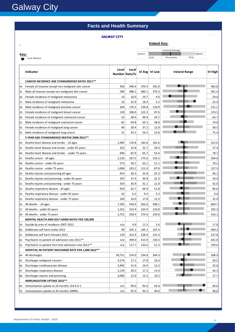**Galway City** 

**Key:**

Local Measure

### **Facts and Health Summary**

#### **GALWAY CITY**

| <b>GALWAY CITY</b> |        |                     |                 |      |         |
|--------------------|--------|---------------------|-----------------|------|---------|
|                    |        | <b>Ireland Key:</b> |                 |      |         |
|                    |        |                     | Ireland Average |      |         |
|                    | Lowest |                     |                 |      | Highest |
|                    |        | 25th                | Percentile      | 75th |         |
|                    |        |                     |                 |      |         |

| Percentile | 75th |
|------------|------|

|    | Indicator                                               | Local<br>Number Rate/% | Local |       | Irl Avg Irl Low | <b>Ireland Range</b> | <b>Irl High</b> |
|----|---------------------------------------------------------|------------------------|-------|-------|-----------------|----------------------|-----------------|
|    | CANCER INCIDENCE AGE STANDARDISED RATES 2011**          |                        |       |       |                 |                      |                 |
| 34 | Female all invasive except non malignant skin cancer    | 456                    | 348.4 | 370.4 | 292.0           |                      | 463.8           |
| 35 | Male all invasive except non malignant skin cancer      | 596                    | 488.2 | 480.1 | 370.3           |                      | 561.4           |
| 36 | Female incidence of malignant melanoma                  | 14                     | 10.0  | 19.7  | 4.9             |                      | 29.0            |
| 37 | Male incidence of malignant melanoma                    | 32                     | 25.9  | 18.3  | 3.2             |                      | 25.9            |
| 38 | Male incidence of malignant prostate cancer             | 204                    | 170.5 | 159.8 | 110.9           |                      | 211.2           |
| 39 | Female incidence of malignant breast cancer             | 130                    | 106.0 | 122.3 | 87.6            |                      | 174.5           |
| 40 | Female incidence of malignant colorectal cancer         | 52                     | 38.4  | 40.0  | 24.7            |                      | 63.7            |
| 41 | Male incidence of malignant colorectal cancer           | 81                     | 64.8  | 63.1  | 38.0            |                      | 74.8            |
| 42 | Female incidence of malignant lung cancer               | 40                     | 28.4  | 37.2  | 12.9            |                      | 58.5            |
| 43 | Male incidence of malignant lung cancer                 | 51                     | 42.5  | 56.5  | 23.8            |                      | 75.4            |
|    | 5 YEAR AGE STANDARDISED DEATHS 2008-2012 **             |                        |       |       |                 |                      |                 |
| 44 | Deaths heart disease and stroke - all ages              | 2,485                  | 176.8 | 182.8 | 162.6           |                      | 252.6           |
| 45 | Deaths heart disease and stroke - under 65 years        | 322                    | 32.8  | 32.7  | 26.0            |                      | 37.4            |
| 46 | Deaths heart disease and stroke - under 75 years        | 690                    | 65.9  | 65.7  | 53.4            |                      | 78.7            |
| 47 | Deaths cancer - all ages                                | 2,126                  | 167.5 | 175.6 | 156.2           |                      | 204.6           |
| 48 | Deaths cancer - under 65 years                          | 573                    | 58.1  | 62.1  | 51.1            |                      | 70.2            |
| 49 | Deaths cancer - under 75 years                          | 1,084                  | 103.2 | 112.0 | 87.8            |                      | 127.5           |
| 50 | Deaths injuries and poisoning all ages                  | 453                    | 36.3  | 35.8  | 25.3            |                      | 46.1            |
| 51 | Deaths injuries and poisoning - under 65 years          | 297                    | 27.4  | 30.8  | 22.3            |                      | 43.4            |
| 52 | Deaths injuries and poisoning - under 75 years          | 354                    | 30.9  | 32.1  | 21.8            |                      | 42.6            |
| 53 | Deaths respiratory disease - all ages                   | 924                    | 62.7  | 64.9  | 51.8            |                      | 84.6            |
| 54 | Deaths respiratory disease - under 65 years             | 62                     | 6.2   | 6.4   | 3.3             |                      | 9.6             |
| 55 | Deaths respiratory disease - under 75 years             | 169                    | 16.0  | 17.8  | 12.3            |                      | 25.4            |
| 56 | All deaths - all ages                                   | 7,395                  | 544.0 | 563.6 | 508.1           |                      | 669.7           |
| 57 | All deaths - under 65 years                             | 1,551                  | 153.9 | 163.9 | 133.8           |                      | 192.3           |
| 58 | All deaths - under 75 years                             | 2,751                  | 258.4 | 274.0 | 229.0           |                      | 316.1           |
|    | <b>MENTAL HEALTH AND SELF HARM RATES PER 100,000</b>    |                        |       |       |                 |                      |                 |
| 59 | Suicide by area of residence 2007-2013                  | n/a                    | 9.9   | 11.3  | 5.6             |                      | 17.8            |
| 60 | Deliberate self harm males 2012                         | 90                     | 245.1 | 195.1 | 107.4           |                      | 469.2           |
| 61 | Deliberate self harm females 2012                       | 129                    | 313.4 | 228.0 | 141.4           |                      | 527.8           |
| 62 | Psychiatric In-patient all admission rate 2011**        | n/a                    | 399.0 | 413.9 | 150.5           |                      | 631.0           |
| 63 | Psychiatric In-patient first time admission rate 2011** | n/a                    | 117.7 | 133.6 | 51.3            |                      | 199.6           |
|    | HOSPITAL IN-PATIENT DISCHARGE RATE PER 1,000 2012**     |                        |       |       |                 |                      |                 |
| 64 | All discharges                                          | 93,751                 | 374.0 | 334.8 | 244.3           |                      | 508.9           |
| 65 | Discharges malignant cancers                            | 4,274                  | 17.1  | 17.8  | 10.3            |                      | 30.5            |
| 66 | Discharges cardiovascular disease                       | 3,992                  | 15.9  | 16.9  | 12.3            |                      | 25.6            |
| 67 | Discharges respiratory disease                          | 5,134                  | 20.5  | 17.2  | 13.4            |                      | 26.3            |
| 68 | Discharges injuries and poisoning                       | 3,000                  | 12.0  | 12.2  | 10.2            |                      | 17.7            |
|    | <b>IMMUNISATION UPTAKE 2012**</b>                       |                        |       |       |                 |                      |                 |
| 69 | Immunisation uptake at 24 months: 3rd 6 in 1            | n/a                    | 99.0  | 95.6  | 92.0            |                      | 99.0            |
| 70 | Immunisation uptake at 24 months: MMR1                  | n/a                    | 97.0  | 93.3  | 90.0            |                      | 98.0            |
|    |                                                         |                        |       |       |                 |                      |                 |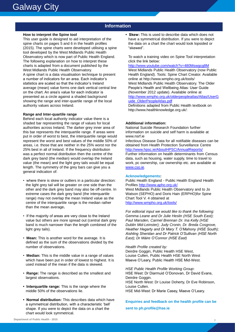#### **Information**

#### **How to interpret the Spine tool**

This user guide is designed to aid interpretation of the spine charts on pages 5 and 6 in the health profiles (2015). The spine charts were developed utilising a spine tool developed by the West Midlands Public Health Observatory which is now part of Public Health England. The following explanation on how to interpret these charts is adapted from a document published by the West Midlands Public Health Observatory. A spine chart is a data visualisation technique to present a number of indicators for an area. Each indicator's statistics are scaled so that the indicator's Ireland average (mean) value forms one dark vertical central line on the chart. An area's value for each indicator is presented as a circle against a shaded background showing the range and inter-quartile range of the local authority values across Ireland.

#### **Range and Inter-quartile range**

Behind each local authority indicator value there is a shaded bar representing the range of values for local authorities across Ireland. The darker grey inner area of this bar represents the interquartile range. If areas were put in order of worst to best, the interquartile range would represent the worst and best values of the middle 50% of areas, i.e. those that are neither in the 25% worst nor the 25% best in all of Ireland. If the frequency distribution was a perfect normal distribution then the centre of the dark grey band (the median) would overlap the Ireland value (the mean) and the light grey tails would be equal length. The symmetry of the grey bars can give you a general indication of:

- where there is skew or outliers in a particular direction: the light grey tail will be greater on one side than the other and the dark grey band may also be off-centre. In extreme cases the dark grey band (the interquartile range) may not overlap the mean Ireland value as the centre of the interquartile range is the median rather than the mean average**.**
- If the majority of areas are very close to the Ireland value but others are more spread out (central dark grey band is much narrower than the length combined of the light grey tails).
- **Mean:** This is another word for the average. It is defined as the sum of the observations divided by the number of observations.
- **Median:** This is the middle value in a range of values which have been put in order of lowest to highest. It is used instead of the mean if the data is skewed.
- **Range:** The range is described as the smallest and largest observations.
- **Interquartile range:** This is the range where the middle 50% of the observations lie.
- **Normal distribution:** This describes data which have a symmetrical distribution, with a characteristic 'bell' shape. If you were to depict the data on a chart the chart would look symmetrical.

**• Skew:** This is used to describe data which does not have a symmetrical distribution. If you were to depict the data on a chart the chart would look lopsided or "skewed".

To watch a training video on Spine Tool interpretation click the link below:

<http://www.youtube.com/watch?v=480Mswgcg8M> West Midlands Public Health Observatory (now Public Health England). Tools: Spine Chart Creator. Available online at http://www.wmpho.org.uk/tools/ West Midlands Public Health Observatory. The Older People's Health and Wellbeing Atlas: User Guide (November 2012 update). Available online at [http://www.wmpho.org.uk/olderpeopleatlas/Atlas/UserG](http://www.wmpho.org.uk/olderpeopleatlas/Atlas/UserGuide_OlderPeopleAtlas.pdf) [uide\\_OlderPeopleAtlas.pdf](http://www.wmpho.org.uk/olderpeopleatlas/Atlas/UserGuide_OlderPeopleAtlas.pdf)

Definitions adapted from Public Health textbook on http://www.healthknowledge.org.uk/:

#### **Additional information:**

National Suicide Research Foundation further information on suicide and self harm is available at www.nsrf.ie

Infectious Disease Data for all notifiable diseases can be obtained from Health Protection Surveillance Centre <http://www.hpsc.ie/AboutHPSC/AnnualReports/>

Further information on health determinants from Census data, such as housing, water supply, time to travel to work, pc ownership, car ownership etc. are available at [www.cso.ie](http://www.cso.ie).

#### **Acknowledgements:**

Public Health England - Public Health England Health Profiles<http://www.apho.org.uk/> West Midlands Public Health Observatory and to Jo Watson (SEPHO) and Doris Hain (ERPHO)for Spine Chart Tool V. 4 obtained at <http://www.wmpho.org.uk/tools/>

*For editorial input we would like to thank the following: Gemma Leane and Dr Julie Heslin (HSE South East); Paul Marsden, Carmel Brennan Dr. Ina Kelly (HSE Dublin Mid-Leinster); Judy Cronin, Dr. Breda Cosgrove, Heather Hegarty and Dr Mary T. O'Mahony (HSE South); Aishling Sheridan and Dr Patrick O'Sullivan (HSE North East); Dr Máire O'Connor (HSE East)*

*Health Profile created by:*  Deirdre Goggin, Public Health HSE West, Louise Cullen, Public Health HSE North West Maeve O'Leary, Public Health HSE Mid-West.

*HSE Public Health Profile Working Group*: HSE West: Dr Diarmuid O'Donovan, Dr David Evans, Deirdre Goggin. HSE North West: Dr Louise Doherty, Dr Eve Robinson, Louise Cullen. HSE Mid-West: Dr Marie Casey, Maeve O'Leary.

**Enquiries and feedback on the health profile can be sent to ph.profile@hse.ie**